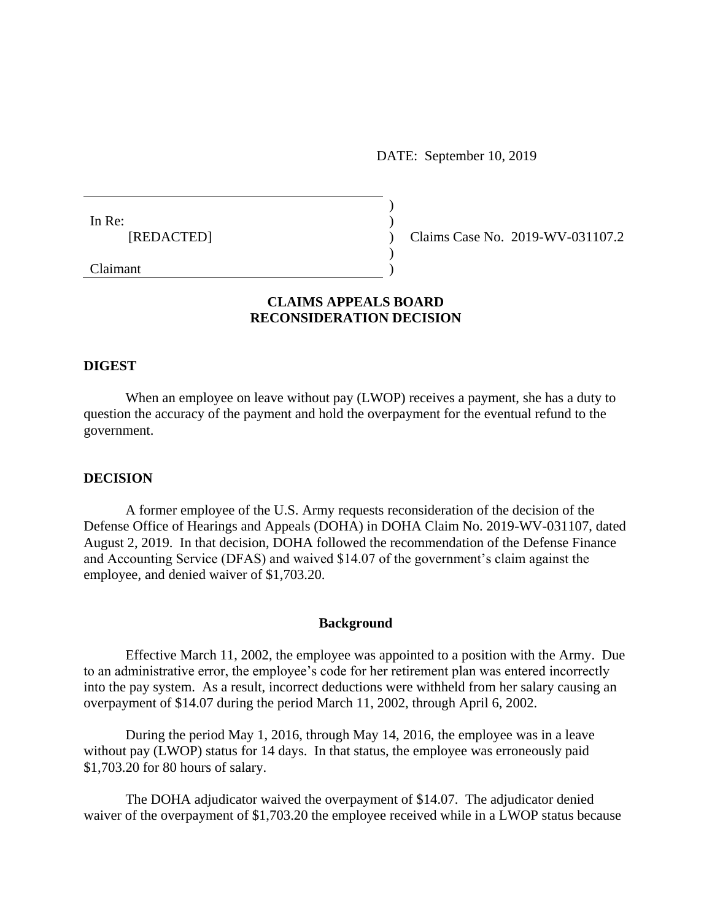DATE: September 10, 2019

| In Re:<br>[REDACTED] |  |
|----------------------|--|
| Claimant             |  |

Claims Case No. 2019-WV-031107.2

# **CLAIMS APPEALS BOARD RECONSIDERATION DECISION**

) )  $\lambda$  $\lambda$ )

## **DIGEST**

When an employee on leave without pay (LWOP) receives a payment, she has a duty to question the accuracy of the payment and hold the overpayment for the eventual refund to the government.

## **DECISION**

A former employee of the U.S. Army requests reconsideration of the decision of the Defense Office of Hearings and Appeals (DOHA) in DOHA Claim No. 2019-WV-031107, dated August 2, 2019. In that decision, DOHA followed the recommendation of the Defense Finance and Accounting Service (DFAS) and waived \$14.07 of the government's claim against the employee, and denied waiver of \$1,703.20.

#### **Background**

Effective March 11, 2002, the employee was appointed to a position with the Army. Due to an administrative error, the employee's code for her retirement plan was entered incorrectly into the pay system. As a result, incorrect deductions were withheld from her salary causing an overpayment of \$14.07 during the period March 11, 2002, through April 6, 2002.

During the period May 1, 2016, through May 14, 2016, the employee was in a leave without pay (LWOP) status for 14 days. In that status, the employee was erroneously paid \$1,703.20 for 80 hours of salary.

The DOHA adjudicator waived the overpayment of \$14.07. The adjudicator denied waiver of the overpayment of \$1,703.20 the employee received while in a LWOP status because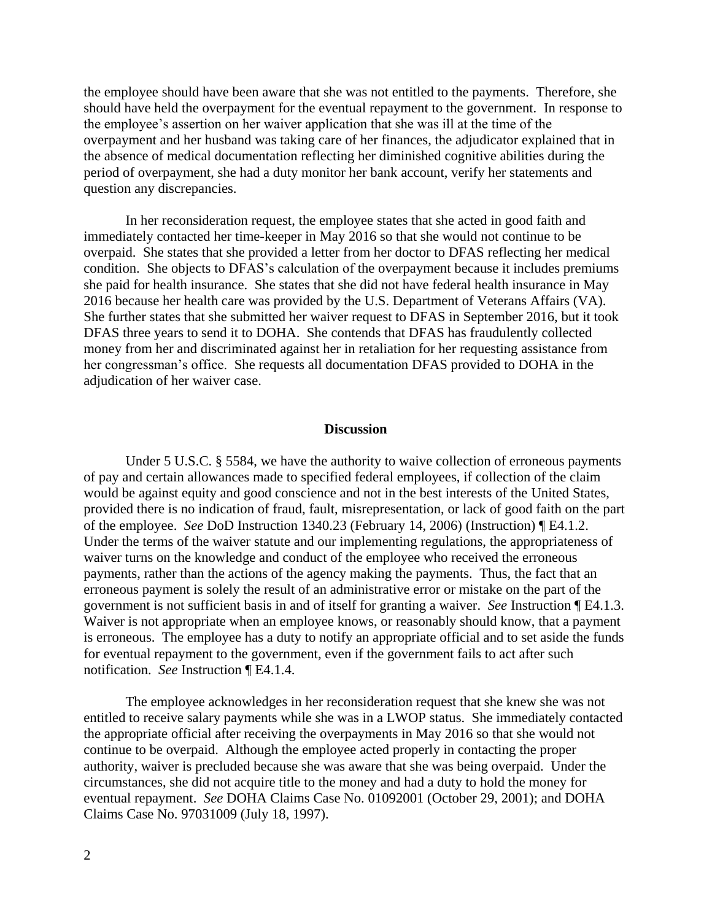the employee should have been aware that she was not entitled to the payments. Therefore, she should have held the overpayment for the eventual repayment to the government. In response to the employee's assertion on her waiver application that she was ill at the time of the overpayment and her husband was taking care of her finances, the adjudicator explained that in the absence of medical documentation reflecting her diminished cognitive abilities during the period of overpayment, she had a duty monitor her bank account, verify her statements and question any discrepancies.

In her reconsideration request, the employee states that she acted in good faith and immediately contacted her time-keeper in May 2016 so that she would not continue to be overpaid. She states that she provided a letter from her doctor to DFAS reflecting her medical condition. She objects to DFAS's calculation of the overpayment because it includes premiums she paid for health insurance. She states that she did not have federal health insurance in May 2016 because her health care was provided by the U.S. Department of Veterans Affairs (VA). She further states that she submitted her waiver request to DFAS in September 2016, but it took DFAS three years to send it to DOHA. She contends that DFAS has fraudulently collected money from her and discriminated against her in retaliation for her requesting assistance from her congressman's office. She requests all documentation DFAS provided to DOHA in the adjudication of her waiver case.

## **Discussion**

Under 5 U.S.C. § 5584, we have the authority to waive collection of erroneous payments of pay and certain allowances made to specified federal employees, if collection of the claim would be against equity and good conscience and not in the best interests of the United States, provided there is no indication of fraud, fault, misrepresentation, or lack of good faith on the part of the employee. *See* DoD Instruction 1340.23 (February 14, 2006) (Instruction) ¶ E4.1.2. Under the terms of the waiver statute and our implementing regulations, the appropriateness of waiver turns on the knowledge and conduct of the employee who received the erroneous payments, rather than the actions of the agency making the payments. Thus, the fact that an erroneous payment is solely the result of an administrative error or mistake on the part of the government is not sufficient basis in and of itself for granting a waiver. *See* Instruction ¶ E4.1.3. Waiver is not appropriate when an employee knows, or reasonably should know, that a payment is erroneous. The employee has a duty to notify an appropriate official and to set aside the funds for eventual repayment to the government, even if the government fails to act after such notification. *See* Instruction ¶ E4.1.4.

The employee acknowledges in her reconsideration request that she knew she was not entitled to receive salary payments while she was in a LWOP status. She immediately contacted the appropriate official after receiving the overpayments in May 2016 so that she would not continue to be overpaid. Although the employee acted properly in contacting the proper authority, waiver is precluded because she was aware that she was being overpaid. Under the circumstances, she did not acquire title to the money and had a duty to hold the money for eventual repayment. *See* DOHA Claims Case No. 01092001 (October 29, 2001); and DOHA Claims Case No. 97031009 (July 18, 1997).